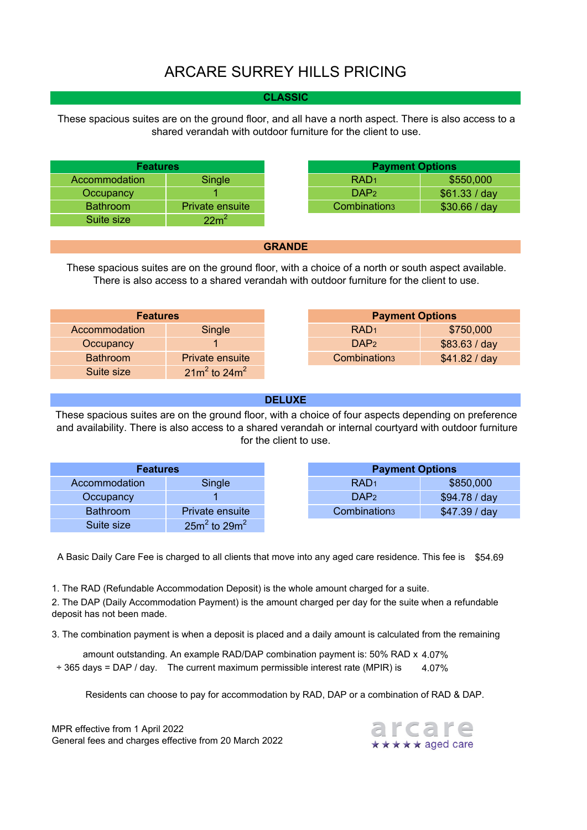# ARCARE SURREY HILLS PRICING

### **CLASSIC**

These spacious suites are on the ground floor, and all have a north aspect. There is also access to a shared verandah with outdoor furniture for the client to use.

| <b>Features</b> |                 | <b>Payment Options</b>   |               |
|-----------------|-----------------|--------------------------|---------------|
| Accommodation   | Single          | RAD <sub>1</sub>         | \$550,000     |
| Occupancy       |                 | DAP <sub>2</sub>         | \$61.33 / day |
| <b>Bathroom</b> | Private ensuite | Combination <sub>3</sub> | \$30.66 / day |
| Suite size      | $22 \text{m}^2$ |                          |               |

#### **GRANDE**

These spacious suites are on the ground floor, with a choice of a north or south aspect available. There is also access to a shared verandah with outdoor furniture for the client to use.

| <b>Features</b> |                    |
|-----------------|--------------------|
| Accommodation   | Single             |
| Occupancy       |                    |
| <b>Bathroom</b> | Private ensuite    |
| Suite size      | $21m^2$ to $24m^2$ |

### **DELUXE**

These spacious suites are on the ground floor, with a choice of four aspects depending on preference and availability. There is also access to a shared verandah or internal courtyard with outdoor furniture for the client to use.

| <b>Features</b> |                    | <b>Payment Options</b>   |               |
|-----------------|--------------------|--------------------------|---------------|
| Accommodation   | Single             | RAD <sub>1</sub>         | \$850,000     |
| Occupancy       |                    | DAP <sub>2</sub>         | \$94.78 / day |
| <b>Bathroom</b> | Private ensuite    | Combination <sub>3</sub> | \$47.39 / day |
| Suite size      | $25m^2$ to $29m^2$ |                          |               |

A Basic Daily Care Fee is charged to all clients that move into any aged care residence. This fee is  $\$54.69$ 

1. The RAD (Refundable Accommodation Deposit) is the whole amount charged for a suite.

2. The DAP (Daily Accommodation Payment) is the amount charged per day for the suite when a refundable deposit has not been made.

3. The combination payment is when a deposit is placed and a daily amount is calculated from the remaining

amount outstanding. An example RAD/DAP combination payment is: 50% RAD x 4.07% 4.07% ÷ 365 days = DAP / day. The current maximum permissible interest rate (MPIR) is

Residents can choose to pay for accommodation by RAD, DAP or a combination of RAD & DAP.

MPR effective from 1 April 2022 General fees and charges effective from 20 March 2022